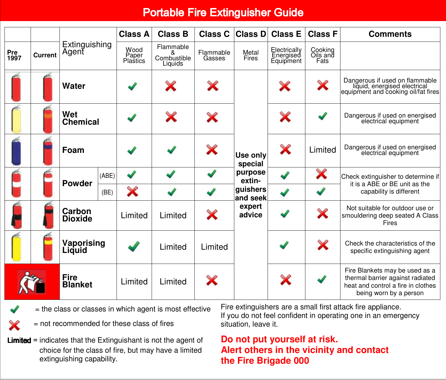## Portable Fire Extinguisher Guide

|             |         | Extinguishing<br>Agent        |       | <b>Class A</b>            | <b>Class B</b>                           | Class C             | <b>Class D</b>       | <b>Class E</b>                         | <b>Class F</b>                                           | <b>Comments</b>                                                                                                                    |
|-------------|---------|-------------------------------|-------|---------------------------|------------------------------------------|---------------------|----------------------|----------------------------------------|----------------------------------------------------------|------------------------------------------------------------------------------------------------------------------------------------|
| Pre<br>1997 | Current |                               |       | Wood<br>Paper<br>Plastics | Flammable<br>&<br>Combustible<br>Liquids | Flammable<br>Gasses | Metal<br>Fires       | Electrically<br>Energised<br>Equipment | Cooking<br>Oils and<br>Fats                              |                                                                                                                                    |
|             |         | Water                         |       |                           | X                                        | X                   | Use only<br>special  | X                                      | X                                                        | Dangerous if used on flammable<br>liquid, energised electrical<br>equipment and cooking oil/fat fires                              |
|             |         | Wet<br>Chemical               |       |                           | X                                        | X                   |                      | X                                      |                                                          | Dangerous if used on energised<br>electrical equipment                                                                             |
|             |         | Foam                          |       |                           |                                          | X                   |                      | X                                      | Limited                                                  | Dangerous if used on energised<br>electrical equipment                                                                             |
|             |         | <b>Powder</b>                 | (ABE) | J                         |                                          |                     | purpose<br>extin-    | J                                      | ×                                                        | Check extinguisher to determine if                                                                                                 |
|             |         |                               | (BE)  | X                         |                                          |                     | quishers<br>and seek | $\blacktriangledown$                   | it is a ABE or BE unit as the<br>capability is different |                                                                                                                                    |
|             |         | Carbon<br><b>Dioxide</b>      |       | Limited                   | Limited                                  | X                   | expert<br>advice     |                                        | X                                                        | Not suitable for outdoor use or<br>smouldering deep seated A Class<br>Fires                                                        |
|             |         | Vaporising<br>Liquid          |       |                           | Limited                                  | Limited             |                      |                                        | X                                                        | Check the characteristics of the<br>specific extinguishing agent                                                                   |
|             |         | <b>Fire</b><br><b>Blanket</b> |       | Limited                   | Limited                                  | X                   |                      | X                                      |                                                          | Fire Blankets may be used as a<br>thermal barrier against radiated<br>heat and control a fire in clothes<br>being worn by a person |



= the class or classes in which agent is most effective

= not recommended for these class of fires

**Limited** = indicates that the Extinguishant is not the agent of choice for the class of fire, but may have a limited extinguishing capability.

Fire extinguishers are a small first attack fire appliance. If you do not feel confident in operating one in an emergency situation, leave it.

## **Do not put yourself at risk. Alert others in the vicinity and contact the Fire Brigade 000**